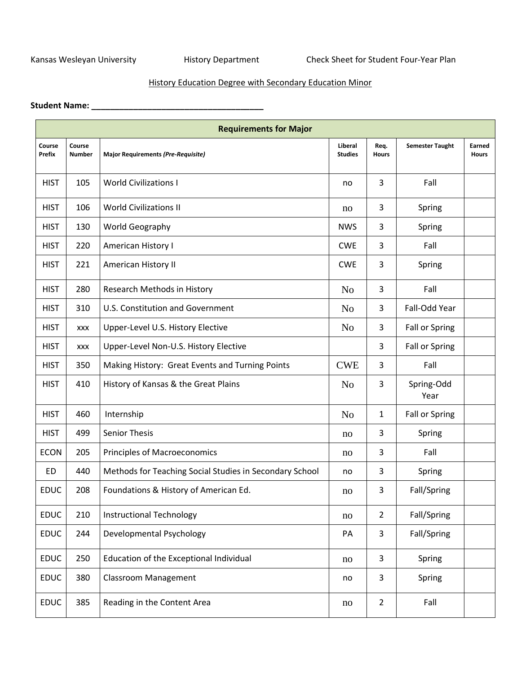Kansas Wesleyan University **History Department** Check Sheet for Student Four-Year Plan

## History Education Degree with Secondary Education Minor

## **Student Name: \_\_\_\_\_\_\_\_\_\_\_\_\_\_\_\_\_\_\_\_\_\_\_\_\_\_\_\_\_\_\_\_\_\_\_\_\_**

|                         |                         | <b>Requirements for Major</b>                           |                           |                      |                        |                        |
|-------------------------|-------------------------|---------------------------------------------------------|---------------------------|----------------------|------------------------|------------------------|
| Course<br><b>Prefix</b> | Course<br><b>Number</b> | <b>Major Requirements (Pre-Requisite)</b>               | Liberal<br><b>Studies</b> | Req.<br><b>Hours</b> | <b>Semester Taught</b> | Earned<br><b>Hours</b> |
| <b>HIST</b>             | 105                     | <b>World Civilizations I</b>                            | no                        | 3                    | Fall                   |                        |
| <b>HIST</b>             | 106                     | <b>World Civilizations II</b>                           | no                        | 3                    | Spring                 |                        |
| <b>HIST</b>             | 130                     | World Geography                                         | <b>NWS</b>                | 3                    | Spring                 |                        |
| <b>HIST</b>             | 220                     | American History I                                      | <b>CWE</b>                | 3                    | Fall                   |                        |
| <b>HIST</b>             | 221                     | American History II                                     | <b>CWE</b>                | 3                    | Spring                 |                        |
| <b>HIST</b>             | 280                     | Research Methods in History                             | N <sub>o</sub>            | 3                    | Fall                   |                        |
| <b>HIST</b>             | 310                     | <b>U.S. Constitution and Government</b>                 | N <sub>o</sub>            | 3                    | Fall-Odd Year          |                        |
| <b>HIST</b>             | <b>XXX</b>              | Upper-Level U.S. History Elective                       | N <sub>o</sub>            | 3                    | Fall or Spring         |                        |
| <b>HIST</b>             | <b>XXX</b>              | Upper-Level Non-U.S. History Elective                   |                           | 3                    | Fall or Spring         |                        |
| <b>HIST</b>             | 350                     | Making History: Great Events and Turning Points         | <b>CWE</b>                | 3                    | Fall                   |                        |
| <b>HIST</b>             | 410                     | History of Kansas & the Great Plains                    | N <sub>0</sub>            | 3                    | Spring-Odd<br>Year     |                        |
| <b>HIST</b>             | 460                     | Internship                                              | N <sub>o</sub>            | 1                    | Fall or Spring         |                        |
| <b>HIST</b>             | 499                     | <b>Senior Thesis</b>                                    | no                        | 3                    | Spring                 |                        |
| <b>ECON</b>             | 205                     | <b>Principles of Macroeconomics</b>                     | no                        | 3                    | Fall                   |                        |
| <b>ED</b>               | 440                     | Methods for Teaching Social Studies in Secondary School | no                        | 3                    | Spring                 |                        |
| <b>EDUC</b>             | 208                     | Foundations & History of American Ed.                   | no                        | 3                    | Fall/Spring            |                        |
| <b>EDUC</b>             | 210                     | <b>Instructional Technology</b>                         | no                        | $\overline{2}$       | Fall/Spring            |                        |
| <b>EDUC</b>             | 244                     | Developmental Psychology                                | PA                        | 3                    | Fall/Spring            |                        |
| EDUC                    | 250                     | Education of the Exceptional Individual                 | no                        | 3                    | Spring                 |                        |
| <b>EDUC</b>             | 380                     | <b>Classroom Management</b>                             | no                        | 3                    | Spring                 |                        |
| EDUC                    | 385                     | Reading in the Content Area                             | no                        | $\overline{2}$       | Fall                   |                        |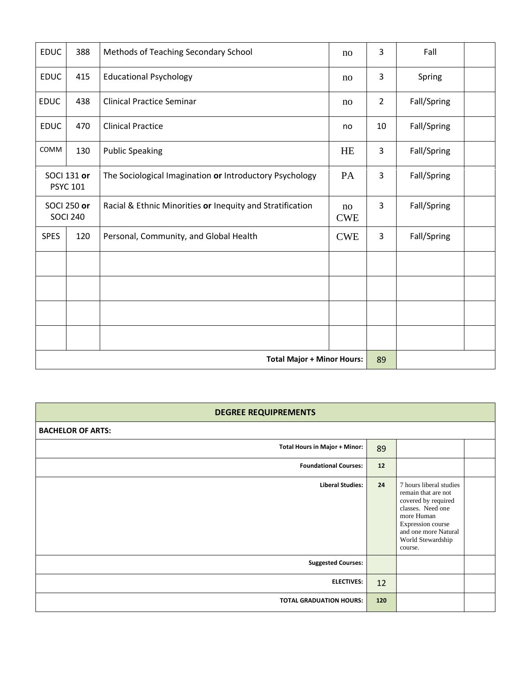| <b>EDUC</b>                           | 388                                   | Methods of Teaching Secondary School                      | no               | 3              | Fall        |  |
|---------------------------------------|---------------------------------------|-----------------------------------------------------------|------------------|----------------|-------------|--|
| <b>EDUC</b>                           | 415                                   | <b>Educational Psychology</b>                             | no               | 3              | Spring      |  |
| <b>EDUC</b>                           | 438                                   | <b>Clinical Practice Seminar</b>                          | no               | $\overline{2}$ | Fall/Spring |  |
| <b>EDUC</b>                           | 470                                   | <b>Clinical Practice</b>                                  | no               | 10             | Fall/Spring |  |
| COMM                                  | 130                                   | <b>Public Speaking</b>                                    | <b>HE</b>        | 3              | Fall/Spring |  |
|                                       | <b>SOCI 131 or</b><br><b>PSYC 101</b> | The Sociological Imagination or Introductory Psychology   | PA               | 3              | Fall/Spring |  |
| <b>SOCI 250 or</b><br><b>SOCI 240</b> |                                       | Racial & Ethnic Minorities or Inequity and Stratification | no<br><b>CWE</b> | 3              | Fall/Spring |  |
| <b>SPES</b>                           | 120                                   | Personal, Community, and Global Health                    | <b>CWE</b>       | 3              | Fall/Spring |  |
|                                       |                                       |                                                           |                  |                |             |  |
|                                       |                                       |                                                           |                  |                |             |  |
|                                       |                                       |                                                           |                  |                |             |  |
|                                       |                                       |                                                           |                  |                |             |  |
|                                       |                                       | <b>Total Major + Minor Hours:</b>                         |                  | 89             |             |  |

## **DEGREE REQUIPREMENTS**

| <b>BACHELOR OF ARTS:</b>             |     |                                                                                                                                                                                       |  |
|--------------------------------------|-----|---------------------------------------------------------------------------------------------------------------------------------------------------------------------------------------|--|
| <b>Total Hours in Major + Minor:</b> | 89  |                                                                                                                                                                                       |  |
| <b>Foundational Courses:</b>         | 12  |                                                                                                                                                                                       |  |
| <b>Liberal Studies:</b>              | 24  | 7 hours liberal studies<br>remain that are not<br>covered by required<br>classes. Need one<br>more Human<br>Expression course<br>and one more Natural<br>World Stewardship<br>course. |  |
| <b>Suggested Courses:</b>            |     |                                                                                                                                                                                       |  |
| <b>ELECTIVES:</b>                    | 12  |                                                                                                                                                                                       |  |
| <b>TOTAL GRADUATION HOURS:</b>       | 120 |                                                                                                                                                                                       |  |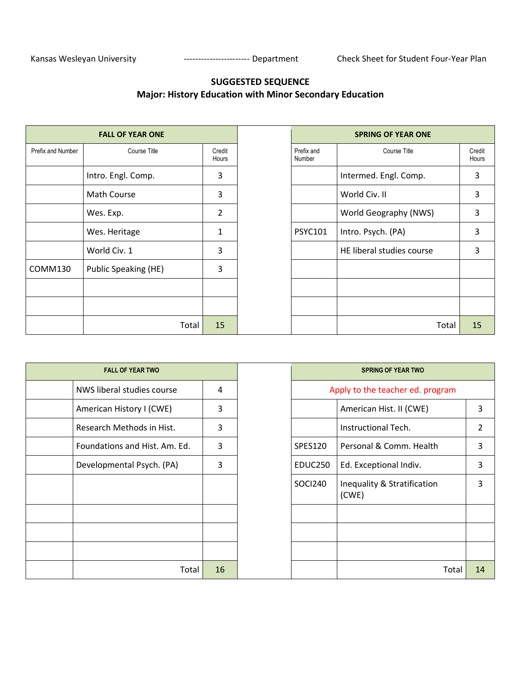## **SUGGESTED SEQUENCE Major: History Education with Minor Secondary Education**

|                   | <b>FALL OF YEAR ONE</b> |       |                 |
|-------------------|-------------------------|-------|-----------------|
| Prefix and Number | Course Title            |       | Credit<br>Hours |
|                   | Intro. Engl. Comp.      |       | 3               |
|                   | Math Course             |       | 3               |
|                   | Wes. Exp.               |       | 2               |
|                   | Wes. Heritage           |       | 1               |
|                   | World Civ. 1            |       | 3               |
| COMM130           | Public Speaking (HE)    |       | 3               |
|                   |                         |       |                 |
|                   |                         |       |                 |
|                   |                         | Total | 15              |

| <b>FALL OF YEAR ONE</b>     |                 |                      | <b>SPRING OF YEAR ONE</b> |                 |
|-----------------------------|-----------------|----------------------|---------------------------|-----------------|
| Course Title                | Credit<br>Hours | Prefix and<br>Number | <b>Course Title</b>       | Credit<br>Hours |
| Intro. Engl. Comp.          | 3               |                      | Intermed. Engl. Comp.     | 3               |
| Math Course                 | 3               |                      | World Civ. II             | 3               |
| Wes. Exp.                   | 2               |                      | World Geography (NWS)     | 3               |
| Wes. Heritage               | 1               | <b>PSYC101</b>       | Intro. Psych. (PA)        | 3               |
| World Civ. 1                | 3               |                      | HE liberal studies course | 3               |
| <b>Public Speaking (HE)</b> | 3               |                      |                           |                 |
|                             |                 |                      |                           |                 |
|                             |                 |                      |                           |                 |
| Total                       | 15              |                      | Total                     | 15              |

| <b>FALL OF YEAR TWO</b>       |    |                | <b>SPRING OF YEAR TWO</b>            |
|-------------------------------|----|----------------|--------------------------------------|
| NWS liberal studies course    | 4  |                | Apply to the teacher ed. program     |
| American History I (CWE)      | 3  |                | American Hist. II (CWE)              |
| Research Methods in Hist.     | 3  |                | Instructional Tech.                  |
| Foundations and Hist. Am. Ed. | 3  | <b>SPES120</b> | Personal & Comm. Health              |
| Developmental Psych. (PA)     | 3  | EDUC250        | Ed. Exceptional Indiv.               |
|                               |    | SOCI240        | Inequality & Stratification<br>(CWE) |
|                               |    |                |                                      |
|                               |    |                |                                      |
|                               |    |                |                                      |
| Total                         | 16 |                | Tot                                  |

| <b>FALL OF YEAR TWO</b>         |    | <b>SPRING OF YEAR TWO</b> |                                      |    |
|---------------------------------|----|---------------------------|--------------------------------------|----|
| NWS liberal studies course<br>4 |    |                           | Apply to the teacher ed. program     |    |
| American History I (CWE)        | 3  |                           | American Hist. II (CWE)              | 3  |
| Research Methods in Hist.       | 3  |                           | Instructional Tech.                  | 2  |
| Foundations and Hist. Am. Ed.   | 3  | SPES120                   | Personal & Comm. Health              | 3  |
| Developmental Psych. (PA)       | 3  | EDUC250                   | Ed. Exceptional Indiv.               | 3  |
|                                 |    | <b>SOCI240</b>            | Inequality & Stratification<br>(CWE) | 3  |
|                                 |    |                           |                                      |    |
|                                 |    |                           |                                      |    |
|                                 |    |                           |                                      |    |
| Total                           | 16 |                           | Total                                | 14 |